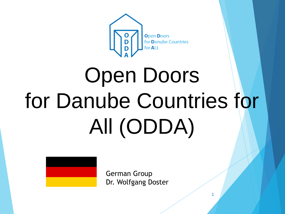

# Open Doors for Danube Countries for All (ODDA)

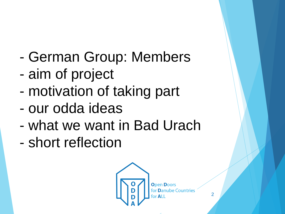- German Group: Members
- aim of project
- motivation of taking part
- our odda ideas
- what we want in Bad Urach
- short reflection



 $\overline{2}$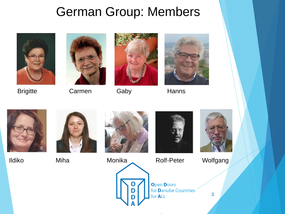## German Group: Members





Brigitte Carmen Gaby Hanns











Ildiko Miha Monika Rolf-Peter Wolfgang





3

**Open Doors** for **Danube Countries** for **ALL**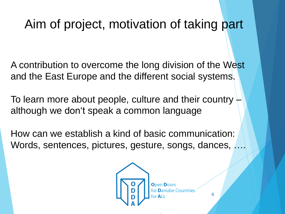## Aim of project, motivation of taking part

A contribution to overcome the long division of the West and the East Europe and the different social systems.

To learn more about people, culture and their country  $\overline{z}$ although we don't speak a common language

How can we establish a kind of basic communication: Words, sentences, pictures, gesture, songs, dances, ….

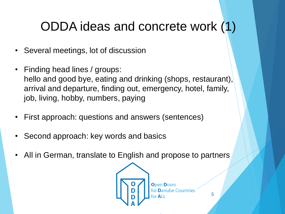## ODDA ideas and concrete work (1)

- Several meetings, lot of discussion
- Finding head lines / groups: hello and good bye, eating and drinking (shops, restaurant), arrival and departure, finding out, emergency, hotel, family, job, living, hobby, numbers, paying
- First approach: questions and answers (sentences)
- Second approach: key words and basics
- All in German, translate to English and propose to partners

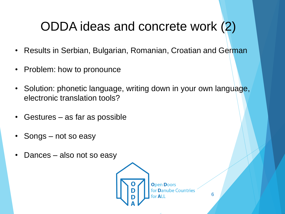## ODDA ideas and concrete work (2)

- Results in Serbian, Bulgarian, Romanian, Croatian and German
- Problem: how to pronounce
- Solution: phonetic language, writing down in your own language, electronic translation tools?
- Gestures as far as possible
- Songs not so easy
- Dances also not so easy

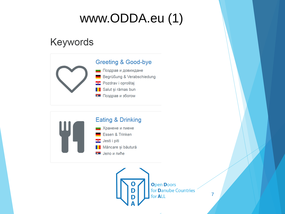## www.ODDA.eu (1)

### Keywords





**Open Doors** for **Danube Countries** for **ALL** 

 $\overline{7}$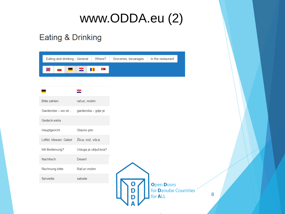## www.ODDA.eu (2)

#### **Eating & Drinking**

| Eating and drinking - General | Where?               | Groceries, bevarages | In the restaurant                                |
|-------------------------------|----------------------|----------------------|--------------------------------------------------|
| 님.<br>기자                      | ije –<br>64<br>ш     |                      |                                                  |
|                               |                      |                      |                                                  |
|                               |                      |                      |                                                  |
|                               | $\bullet$            |                      |                                                  |
| <b>Bitte zahlen</b>           | račun, molim         |                      |                                                  |
| Garderobe - wo ist            | garderoba - gdje je  |                      |                                                  |
| Gedeck extra                  |                      |                      |                                                  |
| Hauptgericht                  | Glavno jelo          |                      |                                                  |
| Löffel, Messer, Gabel         | Žlica, nož, vilica   |                      |                                                  |
| Mit Bedienung?                | Usluga je uključena? |                      |                                                  |
| <b>Nachtisch</b>              | <b>Desert</b>        |                      |                                                  |
| Rechnung bitte                | Račun molim          |                      |                                                  |
| Serviette                     | salvete              |                      |                                                  |
|                               |                      |                      | <b>Open Doors</b><br>for <b>Danube Countries</b> |
|                               |                      |                      | for <b>ALL</b>                                   |

 $A$   $V$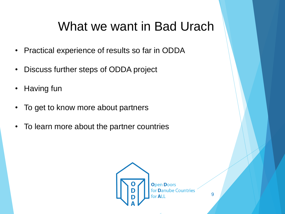## What we want in Bad Urach

- Practical experience of results so far in ODDA
- Discuss further steps of ODDA project
- Having fun
- To get to know more about partners
- To learn more about the partner countries

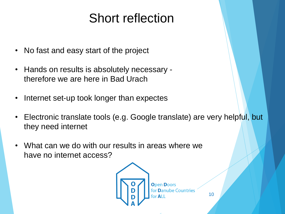## Short reflection

- No fast and easy start of the project
- Hands on results is absolutely necessary therefore we are here in Bad Urach
- Internet set-up took longer than expectes
- Electronic translate tools (e.g. Google translate) are very helpful, but they need internet
- What can we do with our results in areas where we have no internet access?